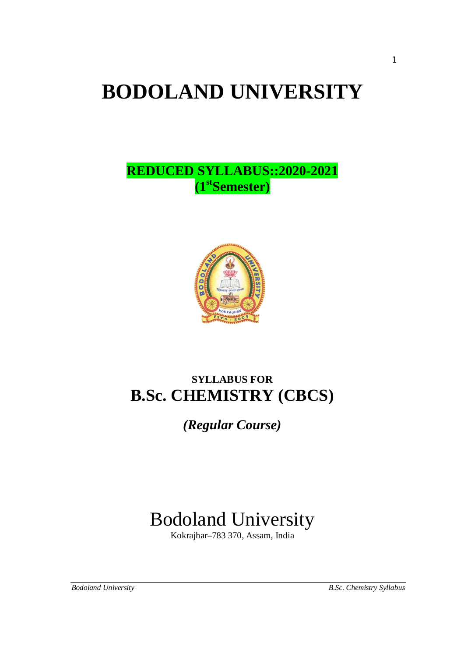# **BODOLAND UNIVERSITY**

# **REDUCED SYLLABUS::2020-2021 (1stSemester)**



# **SYLLABUS FOR B.Sc. CHEMISTRY (CBCS)**

*(Regular Course)*

# Bodoland University

Kokrajhar–783 370, Assam, India

*Bodoland University B.Sc. Chemistry Syllabus*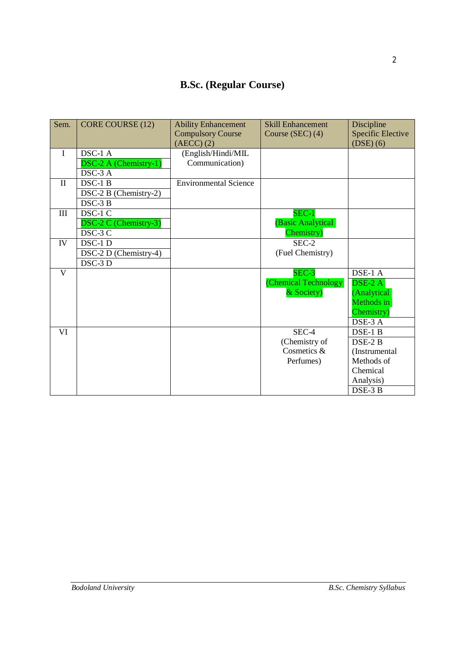# **B.Sc. (Regular Course)**

| Sem.           | CORE COURSE (12)      | <b>Ability Enhancement</b><br><b>Compulsory Course</b> | <b>Skill Enhancement</b><br>Course (SEC) (4) | Discipline<br><b>Specific Elective</b> |
|----------------|-----------------------|--------------------------------------------------------|----------------------------------------------|----------------------------------------|
|                |                       | $(AECC)$ $(2)$                                         |                                              | $(DSE)$ $(6)$                          |
| $\mathbf{I}$   | DSC-1 A               | (English/Hindi/MIL                                     |                                              |                                        |
|                | DSC-2 A (Chemistry-1) | Communication)                                         |                                              |                                        |
|                | DSC-3 A               |                                                        |                                              |                                        |
| $\mathbf{I}$   | DSC-1 B               | <b>Environmental Science</b>                           |                                              |                                        |
|                | DSC-2 B (Chemistry-2) |                                                        |                                              |                                        |
|                | DSC-3 B               |                                                        |                                              |                                        |
| III            | DSC-1 C               |                                                        | $SEC-1$                                      |                                        |
|                | DSC-2 C (Chemistry-3) |                                                        | (Basic Analytical                            |                                        |
|                | DSC-3 C               |                                                        | Chemistry)                                   |                                        |
| IV             | DSC-1 D               |                                                        | SEC-2                                        |                                        |
|                | DSC-2 D (Chemistry-4) |                                                        | (Fuel Chemistry)                             |                                        |
|                | DSC-3 D               |                                                        |                                              |                                        |
| $\overline{V}$ |                       |                                                        | SEC-3                                        | DSE-1 A                                |
|                |                       |                                                        | (Chemical Technology                         | $\overline{\text{DSE-2 A}}$            |
|                |                       |                                                        | & Society)                                   | (Analytical                            |
|                |                       |                                                        |                                              | Methods in                             |
|                |                       |                                                        |                                              | Chemistry)                             |
|                |                       |                                                        |                                              | DSE-3 A                                |
| VI             |                       |                                                        | SEC-4                                        | DSE-1 B                                |
|                |                       |                                                        | (Chemistry of                                | DSE-2 B                                |
|                |                       |                                                        | Cosmetics &                                  | (Instrumental                          |
|                |                       |                                                        | Perfumes)                                    | Methods of                             |
|                |                       |                                                        |                                              | Chemical                               |
|                |                       |                                                        |                                              | Analysis)                              |
|                |                       |                                                        |                                              | DSE-3 B                                |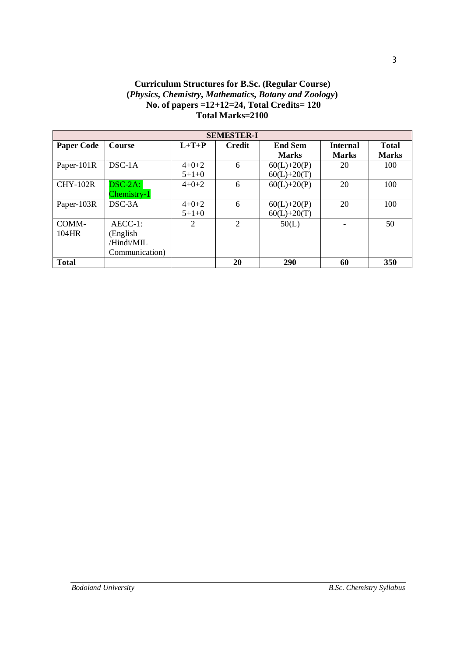# **Curriculum Structures for B.Sc. (Regular Course) (***Physics, Chemistry, Mathematics, Botany and Zoology***) No. of papers =12+12=24, Total Credits= 120 Total Marks=2100**

| <b>SEMESTER-I</b> |                |         |                |                |                 |              |  |  |  |
|-------------------|----------------|---------|----------------|----------------|-----------------|--------------|--|--|--|
| <b>Paper Code</b> | <b>Course</b>  | $L+T+P$ | <b>Credit</b>  | <b>End Sem</b> | <b>Internal</b> | <b>Total</b> |  |  |  |
|                   |                |         |                | <b>Marks</b>   | <b>Marks</b>    | <b>Marks</b> |  |  |  |
| Paper-101R        | $DSC-1A$       | $4+0+2$ | 6              | $60(L)+20(P)$  | 20              | 100          |  |  |  |
|                   |                | $5+1+0$ |                | $60(L)+20(T)$  |                 |              |  |  |  |
| $CHY-102R$        | $DSC-2A$ :     | $4+0+2$ | 6              | $60(L)+20(P)$  | 20              | 100          |  |  |  |
|                   | Chemistry-1    |         |                |                |                 |              |  |  |  |
| Paper-103R        | $DSC-3A$       | $4+0+2$ | 6              | $60(L)+20(P)$  | 20              | 100          |  |  |  |
|                   |                | $5+1+0$ |                | $60(L)+20(T)$  |                 |              |  |  |  |
| COMM-             | $AECC-1$ :     | 2       | $\overline{2}$ | 50(L)          |                 | 50           |  |  |  |
| 104HR             | (English       |         |                |                |                 |              |  |  |  |
|                   | /Hindi/MIL     |         |                |                |                 |              |  |  |  |
|                   | Communication) |         |                |                |                 |              |  |  |  |
| <b>Total</b>      |                |         | 20             | <b>290</b>     | 60              | 350          |  |  |  |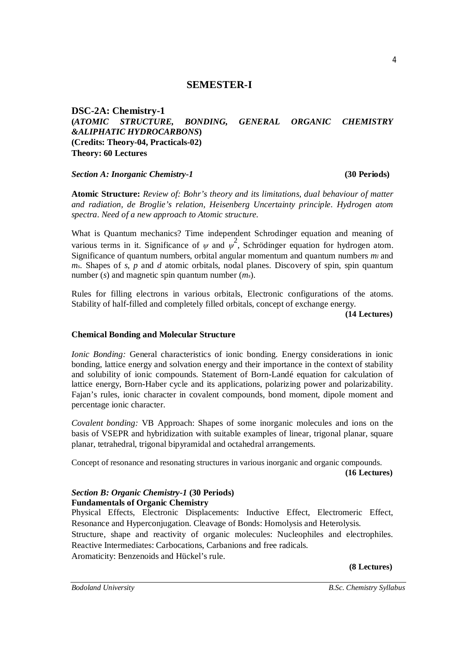# **SEMESTER-I**

**DSC-2A: Chemistry-1 (***ATOMIC STRUCTURE, BONDING, GENERAL ORGANIC CHEMISTRY &ALIPHATIC HYDROCARBONS***) (Credits: Theory-04, Practicals-02) Theory: 60 Lectures**

### *Section A: Inorganic Chemistry-1* **(30 Periods)**

**Atomic Structure:** *Review of: Bohr's theory and its limitations, dual behaviour of matter and radiation, de Broglie's relation, Heisenberg Uncertainty principle. Hydrogen atom spectra. Need of a new approach to Atomic structure.*

What is Quantum mechanics? Time independent Schrodinger equation and meaning of various terms in it. Significance of  $\psi$  and  $\psi^2$ , Schrödinger equation for hydrogen atom. Significance of quantum numbers, orbital angular momentum and quantum numbers *m<sup>l</sup>* and *ms*. Shapes of *s*, *p* and *d* atomic orbitals, nodal planes. Discovery of spin, spin quantum number (*s*) and magnetic spin quantum number (*ms*).

Rules for filling electrons in various orbitals, Electronic configurations of the atoms. Stability of half-filled and completely filled orbitals, concept of exchange energy.

**(14 Lectures)**

## **Chemical Bonding and Molecular Structure**

*Ionic Bonding:* General characteristics of ionic bonding*.* Energy considerations in ionic bonding, lattice energy and solvation energy and their importance in the context of stability and solubility of ionic compounds. Statement of Born-Landé equation for calculation of lattice energy, Born-Haber cycle and its applications, polarizing power and polarizability. Fajan's rules, ionic character in covalent compounds, bond moment, dipole moment and percentage ionic character.

*Covalent bonding:* VB Approach: Shapes of some inorganic molecules and ions on the basis of VSEPR and hybridization with suitable examples of linear, trigonal planar, square planar, tetrahedral, trigonal bipyramidal and octahedral arrangements.

Concept of resonance and resonating structures in various inorganic and organic compounds. **(16 Lectures)**

# *Section B: Organic Chemistry-1* **(30 Periods) Fundamentals of Organic Chemistry**

Physical Effects, Electronic Displacements: Inductive Effect, Electromeric Effect, Resonance and Hyperconjugation. Cleavage of Bonds: Homolysis and Heterolysis. Structure, shape and reactivity of organic molecules: Nucleophiles and electrophiles. Reactive Intermediates: Carbocations, Carbanions and free radicals. Aromaticity: Benzenoids and Hückel's rule.

**(8 Lectures)**

4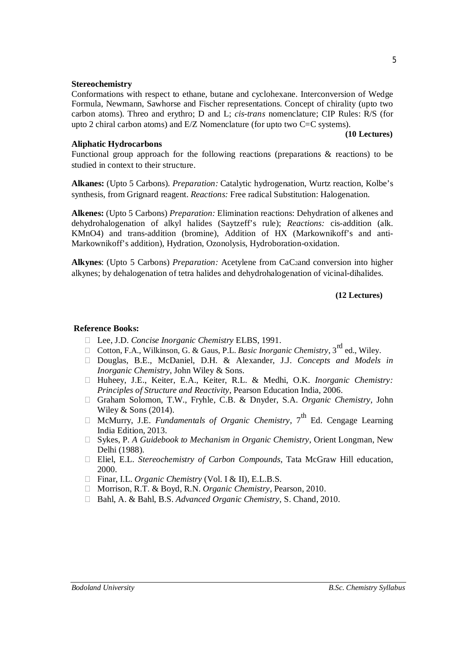#### **Stereochemistry**

Conformations with respect to ethane, butane and cyclohexane. Interconversion of Wedge Formula, Newmann, Sawhorse and Fischer representations. Concept of chirality (upto two carbon atoms). Threo and erythro; D and L; *cis*-*trans* nomenclature; CIP Rules: R/S (for upto 2 chiral carbon atoms) and  $E/Z$  Nomenclature (for upto two C=C systems).

#### **(10 Lectures)**

#### **Aliphatic Hydrocarbons**

Functional group approach for the following reactions (preparations & reactions) to be studied in context to their structure.

**Alkanes:** (Upto 5 Carbons). *Preparation:* Catalytic hydrogenation, Wurtz reaction, Kolbe's synthesis, from Grignard reagent. *Reactions:* Free radical Substitution: Halogenation.

**Alkenes:** (Upto 5 Carbons) *Preparation:* Elimination reactions: Dehydration of alkenes and dehydrohalogenation of alkyl halides (Saytzeff's rule); *Reactions:* cis-addition (alk. KMnO4) and trans-addition (bromine), Addition of HX (Markownikoff's and anti-Markownikoff's addition), Hydration, Ozonolysis, Hydroboration-oxidation.

**Alkynes**: (Upto 5 Carbons) *Preparation:* Acetylene from CaC2and conversion into higher alkynes; by dehalogenation of tetra halides and dehydrohalogenation of vicinal-dihalides.

#### **(12 Lectures)**

#### **Reference Books:**

- Lee, J.D. *Concise Inorganic Chemistry* ELBS, 1991.
- Cotton, F.A., Wilkinson, G. & Gaus, P.L. *Basic Inorganic Chemistry*,  $3^{rd}$  ed., Wiley.
- Douglas, B.E., McDaniel, D.H. & Alexander, J.J. *Concepts and Models in Inorganic Chemistry*, John Wiley & Sons.
- Huheey, J.E., Keiter, E.A., Keiter, R.L. & Medhi, O.K. *Inorganic Chemistry: Principles of Structure and Reactivity*, Pearson Education India, 2006.
- Graham Solomon, T.W., Fryhle, C.B. & Dnyder, S.A. *Organic Chemistry,* John Wiley & Sons (2014).
- $\Box$  McMurry, J.E. *Fundamentals of Organic Chemistry*,  $7^{\text{th}}$  Ed. Cengage Learning India Edition, 2013.
- Sykes, P. *A Guidebook to Mechanism in Organic Chemistry,* Orient Longman, New Delhi (1988).
- Eliel, E.L. *Stereochemistry of Carbon Compounds*, Tata McGraw Hill education, 2000.
- □ Finar, I.L. *Organic Chemistry* (Vol. I & II), E.L.B.S.
- Morrison, R.T. & Boyd, R.N. *Organic Chemistry*, Pearson, 2010.
- Bahl, A. & Bahl, B.S. *Advanced Organic Chemistry,* S. Chand, 2010.